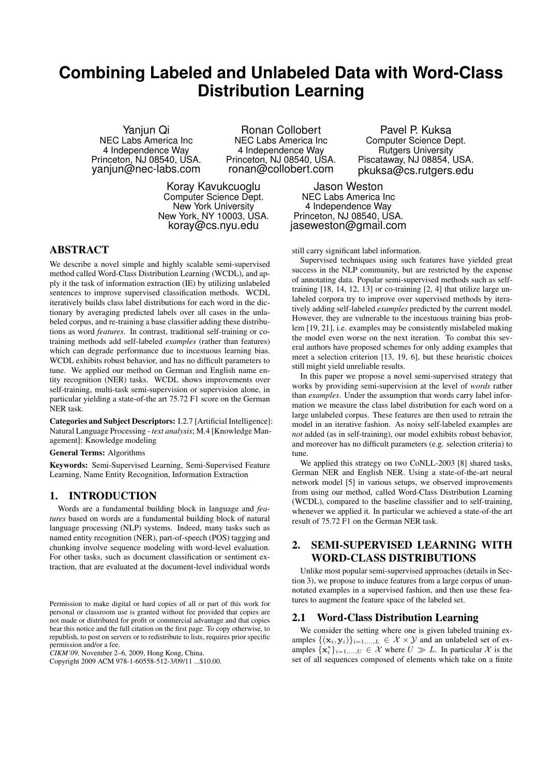# **Combining Labeled and Unlabeled Data with Word-Class Distribution Learning**

Yanjun Qi NEC Labs America Inc 4 Independence Way Princeton, NJ 08540, USA. yanjun@nec-labs.com

Ronan Collobert NEC Labs America Inc 4 Independence Way Princeton, NJ 08540, USA. ronan@collobert.com

Koray Kavukcuoglu Computer Science Dept. New York University New York, NY 10003, USA. koray@cs.nyu.edu

Pavel P. Kuksa Computer Science Dept. Rutgers University Piscataway, NJ 08854, USA. pkuksa@cs.rutgers.edu

Jason Weston NEC Labs America Inc 4 Independence Way Princeton, NJ 08540, USA. jaseweston@gmail.com

### ABSTRACT

We describe a novel simple and highly scalable semi-supervised method called Word-Class Distribution Learning (WCDL), and apply it the task of information extraction (IE) by utilizing unlabeled sentences to improve supervised classification methods. WCDL iteratively builds class label distributions for each word in the dictionary by averaging predicted labels over all cases in the unlabeled corpus, and re-training a base classifier adding these distributions as word *features*. In contrast, traditional self-training or cotraining methods add self-labeled *examples* (rather than features) which can degrade performance due to incestuous learning bias. WCDL exhibits robust behavior, and has no difficult parameters to tune. We applied our method on German and English name entity recognition (NER) tasks. WCDL shows improvements over self-training, multi-task semi-supervision or supervision alone, in particular yielding a state-of-the art 75.72 F1 score on the German NER task.

Categories and Subject Descriptors: I.2.7 [Artificial Intelligence]: Natural Language Processing - *text analysis*; M.4 [Knowledge Management]: Knowledge modeling

General Terms: Algorithms

Keywords: Semi-Supervised Learning, Semi-Supervised Feature Learning, Name Entity Recognition, Information Extraction

## 1. INTRODUCTION

Words are a fundamental building block in language and *features* based on words are a fundamental building block of natural language processing (NLP) systems. Indeed, many tasks such as named entity recognition (NER), part-of-speech (POS) tagging and chunking involve sequence modeling with word-level evaluation. For other tasks, such as document classification or sentiment extraction, that are evaluated at the document-level individual words

*CIKM'09,* November 2–6, 2009, Hong Kong, China.

Copyright 2009 ACM 978-1-60558-512-3/09/11 ...\$10.00.

still carry significant label information.

Supervised techniques using such features have yielded great success in the NLP community, but are restricted by the expense of annotating data. Popular semi-supervised methods such as selftraining [18, 14, 12, 13] or co-training [2, 4] that utilize large unlabeled corpora try to improve over supervised methods by iteratively adding self-labeled *examples* predicted by the current model. However, they are vulnerable to the incestuous training bias problem [19, 21], i.e. examples may be consistently mislabeled making the model even worse on the next iteration. To combat this several authors have proposed schemes for only adding examples that meet a selection criterion [13, 19, 6], but these heuristic choices still might yield unreliable results.

In this paper we propose a novel semi-supervised strategy that works by providing semi-supervision at the level of *words* rather than *examples*. Under the assumption that words carry label information we measure the class label distribution for each word on a large unlabeled corpus. These features are then used to retrain the model in an iterative fashion. As noisy self-labeled examples are *not* added (as in self-training), our model exhibits robust behavior, and moreover has no difficult parameters (e.g. selection criteria) to tune.

We applied this strategy on two CoNLL-2003 [8] shared tasks, German NER and English NER. Using a state-of-the-art neural network model [5] in various setups, we observed improvements from using our method, called Word-Class Distribution Learning (WCDL), compared to the baseline classifier and to self-training, whenever we applied it. In particular we achieved a state-of-the art result of 75.72 F1 on the German NER task.

## 2. SEMI-SUPERVISED LEARNING WITH WORD-CLASS DISTRIBUTIONS

Unlike most popular semi-supervised approaches (details in Section 3), we propose to induce features from a large corpus of unannotated examples in a supervised fashion, and then use these features to augment the feature space of the labeled set.

#### 2.1 Word-Class Distribution Learning

We consider the setting where one is given labeled training examples  $\{(\mathbf{x}_i, \mathbf{y}_i)\}_{i=1,\dots,L} \in \mathcal{X} \times \mathcal{Y}$  and an unlabeled set of examples  $\{x_i^*\}_{i=1,\dots,U} \in \mathcal{X}$  where  $U \gg L$ . In particular  $\mathcal{X}$  is the set of all sequences composed of elements which take on a finite

Permission to make digital or hard copies of all or part of this work for personal or classroom use is granted without fee provided that copies are not made or distributed for profit or commercial advantage and that copies bear this notice and the full citation on the first page. To copy otherwise, to republish, to post on servers or to redistribute to lists, requires prior specific permission and/or a fee.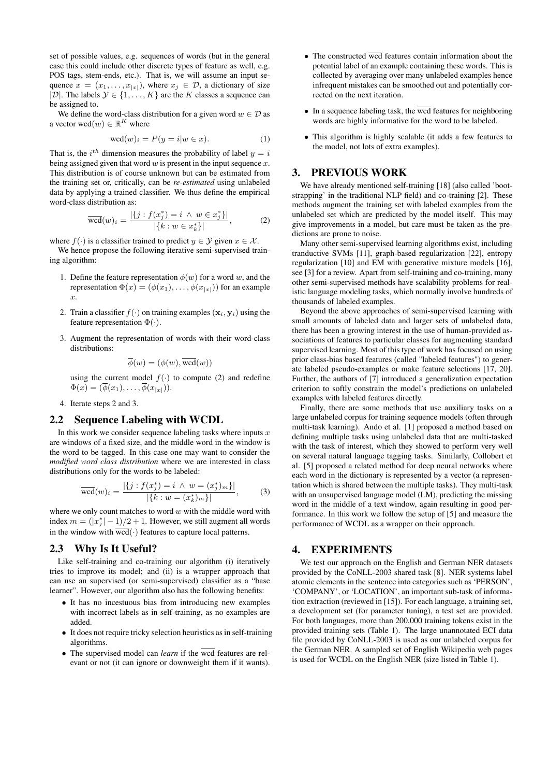set of possible values, e.g. sequences of words (but in the general case this could include other discrete types of feature as well, e.g. POS tags, stem-ends, etc.). That is, we will assume an input sequence  $x = (x_1, \ldots, x_{|x|})$ , where  $x_j \in \mathcal{D}$ , a dictionary of size |D|. The labels  $\mathcal{Y} \in \{1, \ldots, K\}$  are the K classes a sequence can be assigned to.

We define the word-class distribution for a given word  $w \in \mathcal{D}$  as a vector  $\text{wcd}(w) \in \mathbb{R}^K$  where

$$
\text{wcd}(w)_i = P(y = i | w \in x). \tag{1}
$$

That is, the  $i^{th}$  dimension measures the probability of label  $y = i$ being assigned given that word  $w$  is present in the input sequence  $x$ . This distribution is of course unknown but can be estimated from the training set or, critically, can be *re-estimated* using unlabeled data by applying a trained classifier. We thus define the empirical word-class distribution as:

$$
\overline{\text{wcd}}(w)_i = \frac{|\{j : f(x_j^*) = i \land w \in x_j^*\}|}{|\{k : w \in x_k^*\}|},\tag{2}
$$

where  $f(\cdot)$  is a classifier trained to predict  $y \in \mathcal{Y}$  given  $x \in \mathcal{X}$ .

We hence propose the following iterative semi-supervised training algorithm:

- 1. Define the feature representation  $\phi(w)$  for a word w, and the representation  $\Phi(x) = (\phi(x_1), \dots, \phi(x_{|x|}))$  for an example x.
- 2. Train a classifier  $f(\cdot)$  on training examples  $(\mathbf{x}_i, \mathbf{y}_i)$  using the feature representation  $\Phi(\cdot)$ .
- 3. Augment the representation of words with their word-class distributions<sup>.</sup>

$$
\overline{\phi}(w) = (\phi(w), \overline{\text{wcd}}(w))
$$

using the current model  $f(.)$  to compute (2) and redefine  $\Phi(x) = (\overline{\phi}(x_1), \ldots, \overline{\phi}(x_{|x|})).$ 

4. Iterate steps 2 and 3.

## 2.2 Sequence Labeling with WCDL

In this work we consider sequence labeling tasks where inputs  $x$ are windows of a fixed size, and the middle word in the window is the word to be tagged. In this case one may want to consider the *modified word class distribution* where we are interested in class distributions only for the words to be labeled:

$$
\overline{\text{wcd}}(w)_i = \frac{|\{j : f(x_j^*) = i \land w = (x_j^*)_m\}|}{|\{k : w = (x_k^*)_m\}|},\tag{3}
$$

where we only count matches to word  $w$  with the middle word with index  $m = (|x_j^*| - 1)/2 + 1$ . However, we still augment all words in the window with  $\overline{wcd}(\cdot)$  features to capture local patterns.

#### 2.3 Why Is It Useful?

Like self-training and co-training our algorithm (i) iteratively tries to improve its model; and (ii) is a wrapper approach that can use an supervised (or semi-supervised) classifier as a "base learner". However, our algorithm also has the following benefits:

- It has no incestuous bias from introducing new examples with incorrect labels as in self-training, as no examples are added.
- It does not require tricky selection heuristics as in self-training algorithms.
- The supervised model can *learn* if the wcd features are relevant or not (it can ignore or downweight them if it wants).
- The constructed wcd features contain information about the potential label of an example containing these words. This is collected by averaging over many unlabeled examples hence infrequent mistakes can be smoothed out and potentially corrected on the next iteration.
- $\bullet$  In a sequence labeling task, the wcd features for neighboring words are highly informative for the word to be labeled.
- This algorithm is highly scalable (it adds a few features to the model, not lots of extra examples).

#### 3. PREVIOUS WORK

We have already mentioned self-training [18] (also called 'bootstrapping' in the traditional NLP field) and co-training [2]. These methods augment the training set with labeled examples from the unlabeled set which are predicted by the model itself. This may give improvements in a model, but care must be taken as the predictions are prone to noise.

Many other semi-supervised learning algorithms exist, including tranductive SVMs [11], graph-based regularization [22], entropy regularization [10] and EM with generative mixture models [16], see [3] for a review. Apart from self-training and co-training, many other semi-supervised methods have scalability problems for realistic language modeling tasks, which normally involve hundreds of thousands of labeled examples.

Beyond the above approaches of semi-supervised learning with small amounts of labeled data and larger sets of unlabeled data, there has been a growing interest in the use of human-provided associations of features to particular classes for augmenting standard supervised learning. Most of this type of work has focused on using prior class-bias based features (called "labeled features") to generate labeled pseudo-examples or make feature selections [17, 20]. Further, the authors of [7] introduced a generalization expectation criterion to softly constrain the model's predictions on unlabeled examples with labeled features directly.

Finally, there are some methods that use auxiliary tasks on a large unlabeled corpus for training sequence models (often through multi-task learning). Ando et al. [1] proposed a method based on defining multiple tasks using unlabeled data that are multi-tasked with the task of interest, which they showed to perform very well on several natural language tagging tasks. Similarly, Collobert et al. [5] proposed a related method for deep neural networks where each word in the dictionary is represented by a vector (a representation which is shared between the multiple tasks). They multi-task with an unsupervised language model (LM), predicting the missing word in the middle of a text window, again resulting in good performance. In this work we follow the setup of [5] and measure the performance of WCDL as a wrapper on their approach.

#### 4. EXPERIMENTS

We test our approach on the English and German NER datasets provided by the CoNLL-2003 shared task [8]. NER systems label atomic elements in the sentence into categories such as 'PERSON', 'COMPANY', or 'LOCATION', an important sub-task of information extraction (reviewed in [15]). For each language, a training set, a development set (for parameter tuning), a test set are provided. For both languages, more than 200,000 training tokens exist in the provided training sets (Table 1). The large unannotated ECI data file provided by CoNLL-2003 is used as our unlabeled corpus for the German NER. A sampled set of English Wikipedia web pages is used for WCDL on the English NER (size listed in Table 1).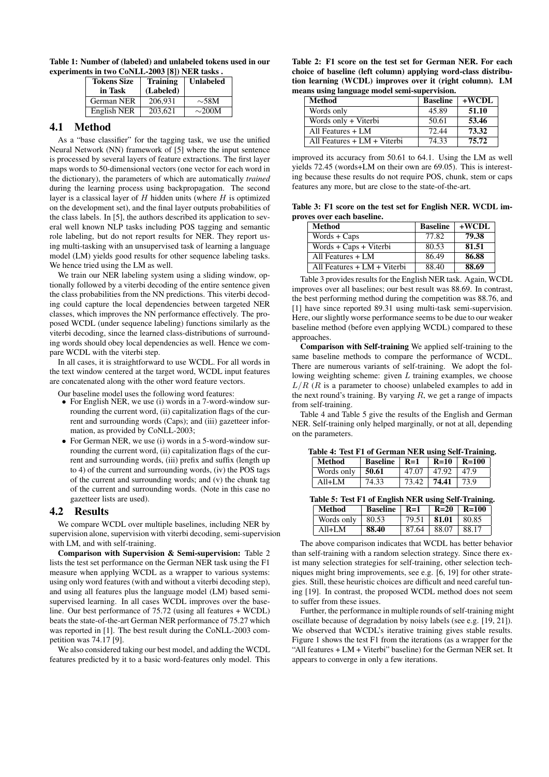Table 1: Number of (labeled) and unlabeled tokens used in our experiments in two CoNLL-2003 [8]) NER tasks .

| <b>Tokens Size</b><br>in Task | <b>Training</b><br>(Labeled) | <b>Unlabeled</b> |
|-------------------------------|------------------------------|------------------|
| <b>German NER</b>             | 206.931                      | $\sim$ 58M       |
| English NER                   | 203.621                      | $\sim$ 200M      |

#### 4.1 Method

As a "base classifier" for the tagging task, we use the unified Neural Network (NN) framework of [5] where the input sentence is processed by several layers of feature extractions. The first layer maps words to 50-dimensional vectors (one vector for each word in the dictionary), the parameters of which are automatically *trained* during the learning process using backpropagation. The second layer is a classical layer of  $H$  hidden units (where  $H$  is optimized on the development set), and the final layer outputs probabilities of the class labels. In [5], the authors described its application to several well known NLP tasks including POS tagging and semantic role labeling, but do not report results for NER. They report using multi-tasking with an unsupervised task of learning a language model (LM) yields good results for other sequence labeling tasks. We hence tried using the LM as well.

We train our NER labeling system using a sliding window, optionally followed by a viterbi decoding of the entire sentence given the class probabilities from the NN predictions. This viterbi decoding could capture the local dependencies between targeted NER classes, which improves the NN performance effectively. The proposed WCDL (under sequence labeling) functions similarly as the viterbi decoding, since the learned class-distributions of surrounding words should obey local dependencies as well. Hence we compare WCDL with the viterbi step.

In all cases, it is straightforward to use WCDL. For all words in the text window centered at the target word, WCDL input features are concatenated along with the other word feature vectors.

Our baseline model uses the following word features:

- For English NER, we use (i) words in a 7-word-window surrounding the current word, (ii) capitalization flags of the current and surrounding words (Caps); and (iii) gazetteer information, as provided by CoNLL-2003;
- For German NER, we use (i) words in a 5-word-window surrounding the current word, (ii) capitalization flags of the current and surrounding words, (iii) prefix and suffix (length up to 4) of the current and surrounding words, (iv) the POS tags of the current and surrounding words; and (v) the chunk tag of the current and surrounding words. (Note in this case no gazetteer lists are used).

#### 4.2 Results

We compare WCDL over multiple baselines, including NER by supervision alone, supervision with viterbi decoding, semi-supervision with LM, and with self-training.

Comparison with Supervision & Semi-supervision: Table 2 lists the test set performance on the German NER task using the F1 measure when applying WCDL as a wrapper to various systems: using only word features (with and without a viterbi decoding step), and using all features plus the language model (LM) based semisupervised learning. In all cases WCDL improves over the baseline. Our best performance of 75.72 (using all features + WCDL) beats the state-of-the-art German NER performance of 75.27 which was reported in [1]. The best result during the CoNLL-2003 competition was 74.17 [9].

We also considered taking our best model, and adding the WCDL features predicted by it to a basic word-features only model. This

Table 2: F1 score on the test set for German NER. For each choice of baseline (left column) applying word-class distribution learning (WCDL) improves over it (right column). LM means using language model semi-supervision.

| <b>Method</b>               | <b>Baseline</b> | $+WCDL$ |
|-----------------------------|-----------------|---------|
| Words only                  | 45.89           | 51.10   |
| Words only + Viterbi        | 50.61           | 53.46   |
| All Features + LM           | 72.44           | 73.32   |
| All Features + LM + Viterbi | 74.33           | 75.72   |

improved its accuracy from 50.61 to 64.1. Using the LM as well yields 72.45 (words+LM on their own are 69.05). This is interesting because these results do not require POS, chunk, stem or caps features any more, but are close to the state-of-the-art.

Table 3: F1 score on the test set for English NER. WCDL improves over each baseline.

| Method                        | <b>Baseline</b> | $+ WCDL$ |
|-------------------------------|-----------------|----------|
| $Words + Caps$                | 77.82           | 79.38    |
| Words + Caps + Viterbi        | 80.53           | 81.51    |
| All Features + LM             | 86.49           | 86.88    |
| All Features $+ LM + Viterbi$ | 88.40           | 88.69    |

Table 3 provides results for the English NER task. Again, WCDL improves over all baselines; our best result was 88.69. In contrast, the best performing method during the competition was 88.76, and [1] have since reported 89.31 using multi-task semi-supervision. Here, our slightly worse performance seems to be due to our weaker baseline method (before even applying WCDL) compared to these approaches.

Comparison with Self-training We applied self-training to the same baseline methods to compare the performance of WCDL. There are numerous variants of self-training. We adopt the following weighting scheme: given  $L$  training examples, we choose  $L/R$  (R is a parameter to choose) unlabeled examples to add in the next round's training. By varying  $R$ , we get a range of impacts from self-training.

Table 4 and Table 5 give the results of the English and German NER. Self-training only helped marginally, or not at all, depending on the parameters.

| Table 4: Test F1 of German NER using Self-Training. |                               |  |  |  |  |  |  |
|-----------------------------------------------------|-------------------------------|--|--|--|--|--|--|
| Method                                              | Baseline   R=1   R=10   R=100 |  |  |  |  |  |  |

| .          | $\sim$ we villed | ----  | $\cdots$ | .    |
|------------|------------------|-------|----------|------|
| Words only | 50.61            |       |          | Q    |
| A 11+I M   |                  | 73.42 | 74.41    | 73 Q |
|            |                  |       |          |      |

| Table 5: Test F1 of English NER using Self-Training. |                         |                 |       |                            |  |
|------------------------------------------------------|-------------------------|-----------------|-------|----------------------------|--|
| Method                                               | <b>Baseline</b>   $R=1$ |                 |       | $\vert$ R=20 $\vert$ R=100 |  |
| Words only                                           | 80.53                   | $79.51$   81.01 |       | 80.85                      |  |
| $All+LM$                                             | 88.40                   | 87.64           | 88.07 | 88.17                      |  |

The above comparison indicates that WCDL has better behavior than self-training with a random selection strategy. Since there exist many selection strategies for self-training, other selection techniques might bring improvements, see e.g. [6, 19] for other strategies. Still, these heuristic choices are difficult and need careful tuning [19]. In contrast, the proposed WCDL method does not seem to suffer from these issues.

Further, the performance in multiple rounds of self-training might oscillate because of degradation by noisy labels (see e.g. [19, 21]). We observed that WCDL's iterative training gives stable results. Figure 1 shows the test F1 from the iterations (as a wrapper for the "All features + LM + Viterbi" baseline) for the German NER set. It appears to converge in only a few iterations.